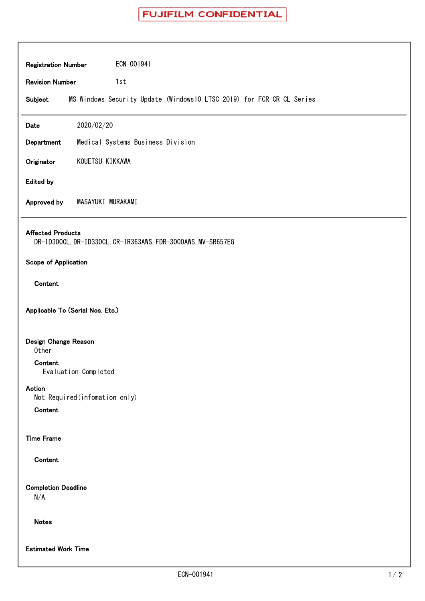| ECN-001941<br><b>Registration Number</b>                                                 |
|------------------------------------------------------------------------------------------|
| <b>Revision Number</b><br>1st                                                            |
| MS Windows Security Update (Windows10 LTSC 2019) for FCR CR CL Series<br>Subject         |
| 2020/02/20<br>Date                                                                       |
| Medical Systems Business Division<br>Department                                          |
| KOUETSU KIKKAWA<br>Originator                                                            |
| <b>Edited by</b>                                                                         |
| MASAYUKI MURAKAMI<br>Approved by                                                         |
| <b>Affected Products</b><br>DR-ID300CL, DR-ID330CL, CR-IR363AWS, FDR-3000AWS, MV-SR657EG |
| Scope of Application                                                                     |
| Content                                                                                  |
| Applicable To (Serial Nos. Etc.)                                                         |
| Design Change Reason<br>Other                                                            |
| Content<br>Evaluation Completed                                                          |
| Action<br>Not Required (infomation only)                                                 |
| Content                                                                                  |
| <b>Time Frame</b>                                                                        |
| Content                                                                                  |
| <b>Completion Deadline</b><br>N/A                                                        |
| <b>Notes</b>                                                                             |
| <b>Estimated Work Time</b>                                                               |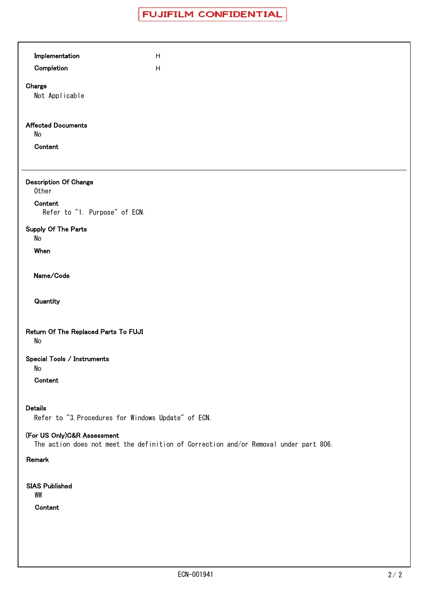| Implementation                                                        | $\boldsymbol{\mathsf{H}}$                                                            |
|-----------------------------------------------------------------------|--------------------------------------------------------------------------------------|
| Completion                                                            | $\boldsymbol{\mathsf{H}}$                                                            |
| Charge<br>Not Applicable                                              |                                                                                      |
| <b>Affected Documents</b><br>No<br>Content                            |                                                                                      |
| <b>Description Of Change</b><br>Other                                 |                                                                                      |
| Content<br>Refer to "1. Purpose" of ECN.                              |                                                                                      |
| Supply Of The Parts<br>No                                             |                                                                                      |
| When                                                                  |                                                                                      |
| Name/Code                                                             |                                                                                      |
| Quantity                                                              |                                                                                      |
| Return Of The Replaced Parts To FUJI<br>No                            |                                                                                      |
| Special Tools / Instruments<br>No                                     |                                                                                      |
| Content                                                               |                                                                                      |
| <b>Details</b><br>Refer to "3. Procedures for Windows Update" of ECN. |                                                                                      |
| (For US Only)C&R Assessment                                           | The action does not meet the definition of Correction and/or Removal under part 806. |
| Remark                                                                |                                                                                      |
| <b>SIAS Published</b><br>WW<br>Content                                |                                                                                      |
|                                                                       |                                                                                      |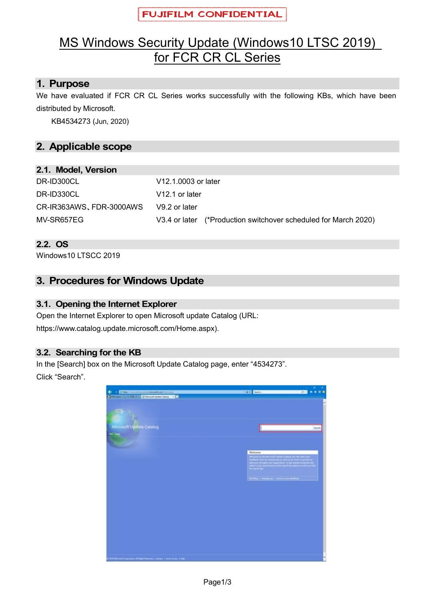# MS Windows Security Update (Windows10 LTSC 2019) for FCR CR CL Series

## **1. Purpose**

We have evaluated if FCR CR CL Series works successfully with the following KBs, which have been distributed by Microsoft.

KB4534273 (Jun, 2020)

# **2. Applicable scope**

#### **2.1. Model, Version**

| DR-ID300CL               | V12.1.0003 or later                                             |  |  |  |  |  |
|--------------------------|-----------------------------------------------------------------|--|--|--|--|--|
| DR-ID330CL               | V <sub>12.1</sub> or later                                      |  |  |  |  |  |
| CR-IR363AWS, FDR-3000AWS | V9.2 or later                                                   |  |  |  |  |  |
| MV-SR657EG               | V3.4 or later (*Production switchover scheduled for March 2020) |  |  |  |  |  |

#### **2.2. OS**

Windows10 LTSCC 2019

## **3. Procedures for Windows Update**

#### **3.1. Opening the Internet Explorer**

Open the Internet Explorer to open Microsoft update Catalog (URL: https://www.catalog.update.microsoft.com/Home.aspx).

#### **3.2. Searching for the KB**

In the [Search] box on the Microsoft Update Catalog page, enter "4534273". Click "Search".

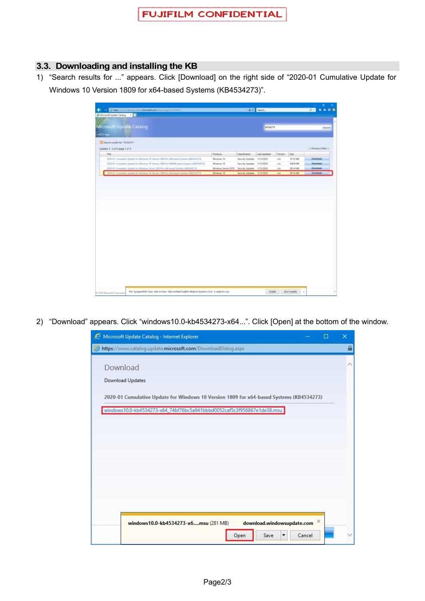#### **3.3. Downloading and installing the KB**

1) "Search results for ..." appears. Click [Download] on the right side of "2020-01 Cumulative Update for Windows 10 Version 1809 for x64-based Systems (KB4534273)".

|                                                                                             |                     |                  | - Bit Surch. |            |              | $\mathbf{a}$<br>$D -$ |
|---------------------------------------------------------------------------------------------|---------------------|------------------|--------------|------------|--------------|-----------------------|
| $\times$ $\Box$<br>Microsoft Update Catalog                                                 |                     |                  |              |            |              |                       |
|                                                                                             |                     |                  |              |            |              |                       |
| Microsoft Update Catalog                                                                    |                     |                  | 4634273      |            |              | Search                |
| <b>SACT NH</b>                                                                              |                     |                  |              |            |              |                       |
| Search results for "4534273"                                                                |                     |                  |              |            |              |                       |
| Updates 1 - 4 of 4 (page 1 of 1)                                                            |                     |                  |              |            |              | C-Previous (Next II)  |
| Title                                                                                       | Products            | Cashoton         | Lash Updated | Werslow    | Size:        |                       |
| 2020-01 Cumulative Update for Windows 10 Version 1809 for difi-based Systems (KB4534273).   | Windows 10          | Security Updates | 1/13/2020    | n/b        | <b>H10MB</b> | Download              |
| 2020-01 Cumulative Upstate for Winstews 10 Version 1939 for ARM64 based Systems (634534372) | Wednes 10           | Senatey Updates  | 1/13/2020    | n/a        | 3063 MB      | <b>Dovrigad</b>       |
| 2020-01 Cumulative Update for Windows Server 2019 for utili-based Systems (KMO34273).       | Windows Server 2019 | Security Updates | 1/13/2020    | 3/3        | 281.4 MB     | Doverigad             |
| 2020-01 Cumulative Update for Windows 10 Version 1899 for x64-based Systems (834534273)     | Windows 10          | Security Updates | 1/13/2020    | <b>m/a</b> | 281.4 MB     | Dovrigad              |
|                                                                                             |                     |                  |              |            |              |                       |
|                                                                                             |                     |                  |              |            |              |                       |
|                                                                                             |                     |                  |              |            |              |                       |
|                                                                                             |                     |                  |              |            |              |                       |
|                                                                                             |                     |                  |              |            |              |                       |
|                                                                                             |                     |                  |              |            |              |                       |
|                                                                                             |                     |                  |              |            |              |                       |
|                                                                                             |                     |                  |              |            |              |                       |
|                                                                                             |                     |                  |              |            |              |                       |

2) "Download" appears. Click "windows10.0-kb4534273-x64...". Click [Open] at the bottom of the window.